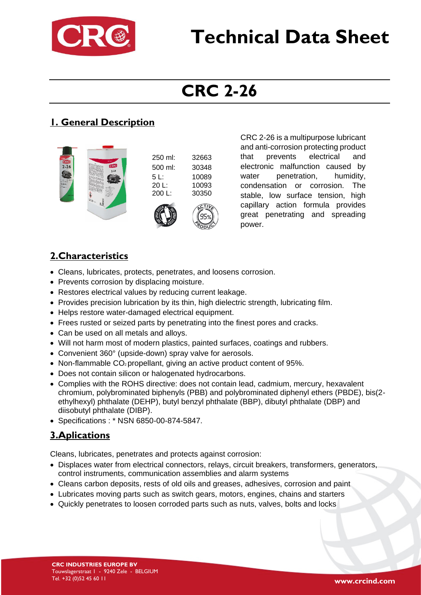

# **Technical Data Sheet**

## **CRC 2-26**

### **1. General Description**



CRC 2-26 is a multipurpose lubricant and anti-corrosion protecting product that prevents electrical and electronic malfunction caused by water penetration, humidity, condensation or corrosion. The stable, low surface tension, high capillary action formula provides great penetrating and spreading power.

#### **2.Characteristics**

- Cleans, lubricates, protects, penetrates, and loosens corrosion.
- Prevents corrosion by displacing moisture.
- Restores electrical values by reducing current leakage.
- Provides precision lubrication by its thin, high dielectric strength, lubricating film.
- Helps restore water-damaged electrical equipment.
- Frees rusted or seized parts by penetrating into the finest pores and cracks.
- Can be used on all metals and alloys.
- Will not harm most of modern plastics, painted surfaces, coatings and rubbers.
- Convenient 360° (upside-down) spray valve for aerosols.
- Non-flammable  $CO_2$  propellant, giving an active product content of 95%.
- Does not contain silicon or halogenated hydrocarbons.
- Complies with the ROHS directive: does not contain lead, cadmium, mercury, hexavalent chromium, polybrominated biphenyls (PBB) and polybrominated diphenyl ethers (PBDE), bis(2 ethylhexyl) phthalate (DEHP), butyl benzyl phthalate (BBP), dibutyl phthalate (DBP) and diisobutyl phthalate (DIBP).
- Specifications : \* NSN 6850-00-874-5847.

### **3.Aplications**

Cleans, lubricates, penetrates and protects against corrosion:

- Displaces water from electrical connectors, relays, circuit breakers, transformers, generators, control instruments, communication assemblies and alarm systems
- Cleans carbon deposits, rests of old oils and greases, adhesives, corrosion and paint
- Lubricates moving parts such as switch gears, motors, engines, chains and starters
- Quickly penetrates to loosen corroded parts such as nuts, valves, bolts and locks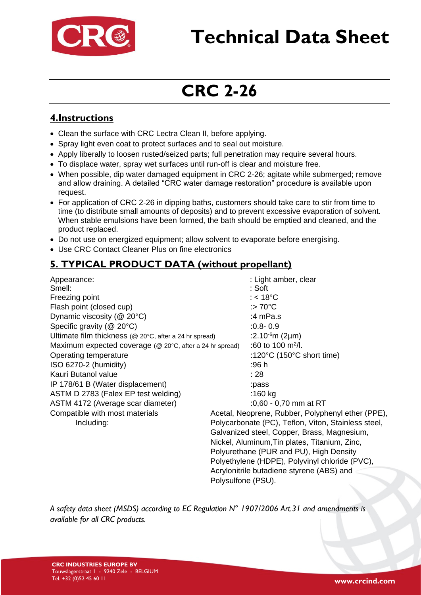

# **Technical Data Sheet**

## **CRC 2-26**

#### **4.Instructions**

- Clean the surface with CRC Lectra Clean II, before applying.
- Spray light even coat to protect surfaces and to seal out moisture.
- Apply liberally to loosen rusted/seized parts; full penetration may require several hours.
- To displace water, spray wet surfaces until run-off is clear and moisture free.
- When possible, dip water damaged equipment in CRC 2-26; agitate while submerged; remove and allow draining. A detailed "CRC water damage restoration" procedure is available upon request.
- For application of CRC 2-26 in dipping baths, customers should take care to stir from time to time (to distribute small amounts of deposits) and to prevent excessive evaporation of solvent. When stable emulsions have been formed, the bath should be emptied and cleaned, and the product replaced.
- Do not use on energized equipment; allow solvent to evaporate before energising.
- Use CRC Contact Cleaner Plus on fine electronics

#### **5. TYPICAL PRODUCT DATA (without propellant)**

Appearance:  $\qquad \qquad$  Appearance: Smell: **Smell:**  $\qquad \qquad$  : Soft Freezing point in the same state of the state of the state of the state of the state of the state of the state of the state of the state of the state of the state of the state of the state of the state of the state of the Flash point (closed cup)  $\qquad \qquad \qquad \qquad$  :> 70°C Dynamic viscosity (@ 20°C) 3.4 mPa.s Specific gravity (@ 20°C) :0.8- 0.9 Ultimate film thickness ( $@$  20°C, after a 24 hr spread) :2.10<sup>-6</sup>m (2 $\mu$ m) Maximum expected coverage ( $@$  20 $°C$ , after a 24 hr spread) Operating temperature :120°C (150°C short time) ISO 6270-2 (humidity) :96 h Kauri Butanol value : 28 IP 178/61 B (Water displacement) :pass ASTM D 2783 (Falex EP test welding) :160 kg ASTM 4172 (Average scar diameter) :0,60 - 0,70 mm at RT Compatible with most materials Acetal, Neoprene, Rubber, Polyphenyl ether (PPE),

:60 to 100  $m^2/l$ . Including: Polycarbonate (PC), Teflon, Viton, Stainless steel, Galvanized steel, Copper, Brass, Magnesium, Nickel, Aluminum,Tin plates, Titanium, Zinc, Polyurethane (PUR and PU), High Density Polyethylene (HDPE), Polyvinyl chloride (PVC), Acrylonitrile butadiene styrene (ABS) and Polysulfone (PSU).

*A safety data sheet (MSDS) according to EC Regulation N° 1907/2006 Art.31 and amendments is available for all CRC products.*